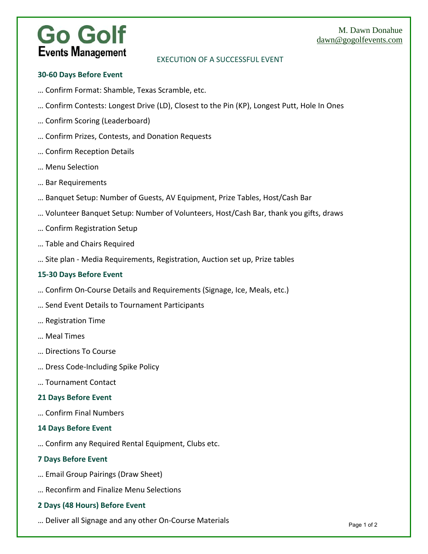### M. Dawn Donahue dawn@gogolfevents.com

# **Go Golf Events Management**

## EXECUTION OF A SUCCESSFUL EVENT

### **30‐60 Days Before Event**

- … Confirm Format: Shamble, Texas Scramble, etc.
- … Confirm Contests: Longest Drive (LD), Closest to the Pin (KP), Longest Putt, Hole In Ones
- … Confirm Scoring (Leaderboard)
- … Confirm Prizes, Contests, and Donation Requests
- … Confirm Reception Details
- … Menu Selection
- … Bar Requirements
- … Banquet Setup: Number of Guests, AV Equipment, Prize Tables, Host/Cash Bar
- … Volunteer Banquet Setup: Number of Volunteers, Host/Cash Bar, thank you gifts, draws
- … Confirm Registration Setup
- … Table and Chairs Required
- … Site plan ‐ Media Requirements, Registration, Auction set up, Prize tables

#### **15‐30 Days Before Event**

- … Confirm On‐Course Details and Requirements (Signage, Ice, Meals, etc.)
- … Send Event Details to Tournament Participants
- … Registration Time
- … Meal Times
- … Directions To Course
- … Dress Code‐Including Spike Policy
- … Tournament Contact

#### **21 Days Before Event**

… Confirm Final Numbers

#### **14 Days Before Event**

… Confirm any Required Rental Equipment, Clubs etc.

#### **7 Days Before Event**

- … Email Group Pairings (Draw Sheet)
- … Reconfirm and Finalize Menu Selections

#### **2 Days (48 Hours) Before Event**

… Deliver all Signage and any other On‐Course Materials